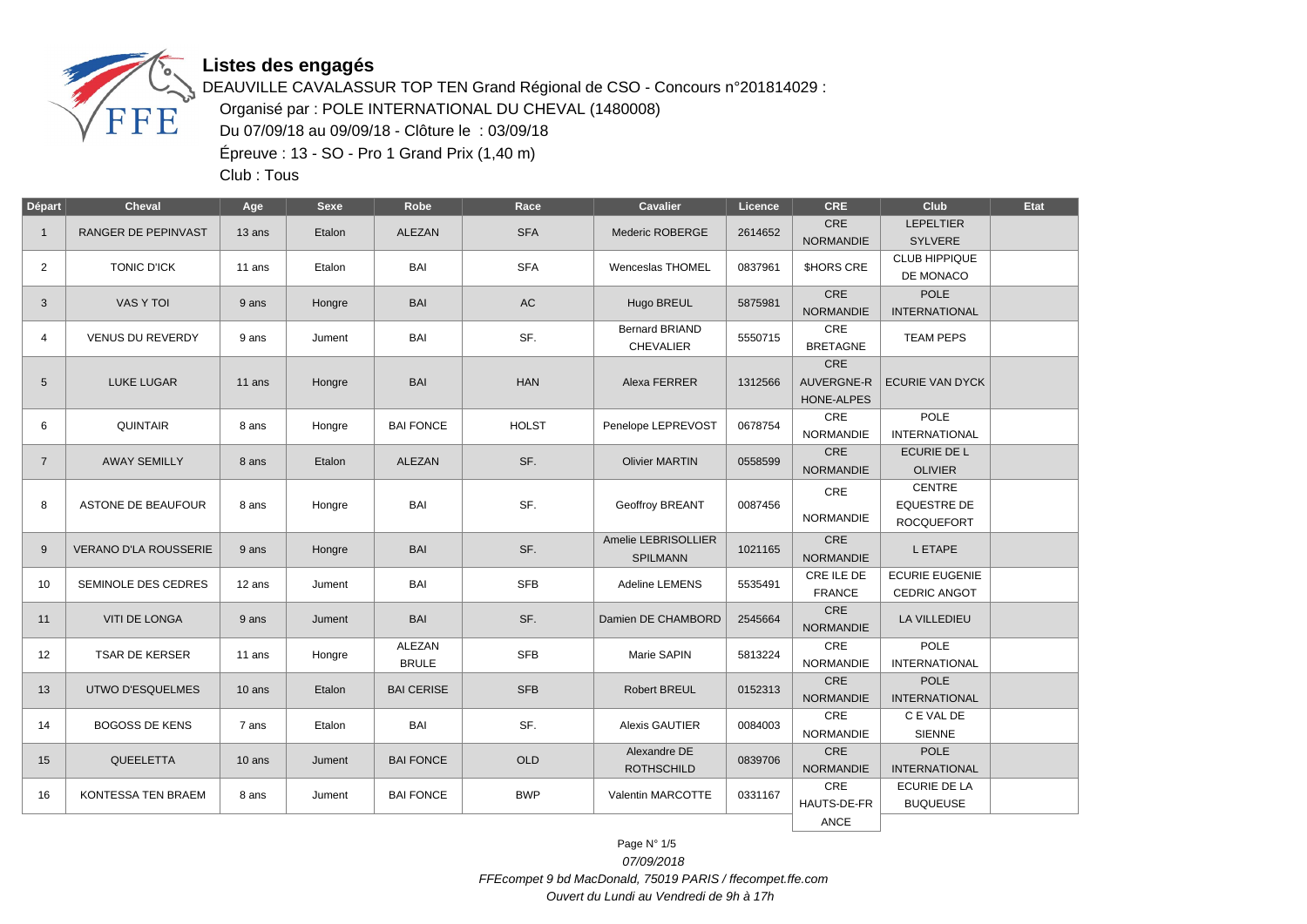

DEAUVILLE CAVALASSUR TOP TEN Grand Régional de CSO - Concours n°201814029 : Organisé par : POLE INTERNATIONAL DU CHEVAL (1480008) Du 07/09/18 au 09/09/18 - Clôture le : 03/09/18 Épreuve : 13 - SO - Pro 1 Grand Prix (1,40 m)

Club : Tous

| <b>Départ</b>  | <b>Cheval</b>                | Age    | Sexe   | Robe                          | Race         | <b>Cavalier</b>                           | Licence | <b>CRE</b>                             | Club                                                     | Etat |
|----------------|------------------------------|--------|--------|-------------------------------|--------------|-------------------------------------------|---------|----------------------------------------|----------------------------------------------------------|------|
| $\mathbf{1}$   | RANGER DE PEPINVAST          | 13 ans | Etalon | <b>ALEZAN</b>                 | <b>SFA</b>   | Mederic ROBERGE                           | 2614652 | CRE<br><b>NORMANDIE</b>                | <b>LEPELTIER</b><br><b>SYLVERE</b>                       |      |
| $\overline{2}$ | <b>TONIC D'ICK</b>           | 11 ans | Etalon | BAI                           | <b>SFA</b>   | Wenceslas THOMEL                          | 0837961 | <b>SHORS CRE</b>                       | <b>CLUB HIPPIQUE</b><br>DE MONACO                        |      |
| 3              | VAS Y TOI                    | 9 ans  | Hongre | <b>BAI</b>                    | AC           | Hugo BREUL                                | 5875981 | CRE<br><b>NORMANDIE</b>                | <b>POLE</b><br><b>INTERNATIONAL</b>                      |      |
| 4              | <b>VENUS DU REVERDY</b>      | 9 ans  | Jument | BAI                           | SF.          | <b>Bernard BRIAND</b><br><b>CHEVALIER</b> | 5550715 | CRE<br><b>BRETAGNE</b>                 | <b>TEAM PEPS</b>                                         |      |
| 5              | <b>LUKE LUGAR</b>            | 11 ans | Hongre | <b>BAI</b>                    | <b>HAN</b>   | Alexa FERRER                              | 1312566 | CRE<br><b>AUVERGNE-R</b><br>HONE-ALPES | <b>ECURIE VAN DYCK</b>                                   |      |
| 6              | <b>QUINTAIR</b>              | 8 ans  | Hongre | <b>BAI FONCE</b>              | <b>HOLST</b> | Penelope LEPREVOST                        | 0678754 | CRE<br><b>NORMANDIE</b>                | POLE<br><b>INTERNATIONAL</b>                             |      |
| $\overline{7}$ | <b>AWAY SEMILLY</b>          | 8 ans  | Etalon | ALEZAN                        | SF.          | <b>Olivier MARTIN</b>                     | 0558599 | CRE<br><b>NORMANDIE</b>                | <b>ECURIE DE L</b><br><b>OLIVIER</b>                     |      |
| 8              | ASTONE DE BEAUFOUR           | 8 ans  | Hongre | BAI                           | SF.          | <b>Geoffroy BREANT</b>                    | 0087456 | CRE<br>NORMANDIE                       | <b>CENTRE</b><br><b>EQUESTRE DE</b><br><b>ROCQUEFORT</b> |      |
| 9              | <b>VERANO D'LA ROUSSERIE</b> | 9 ans  | Hongre | <b>BAI</b>                    | SF.          | Amelie LEBRISOLLIER<br><b>SPILMANN</b>    | 1021165 | CRE<br><b>NORMANDIE</b>                | L ETAPE                                                  |      |
| 10             | SEMINOLE DES CEDRES          | 12 ans | Jument | BAI                           | <b>SFB</b>   | Adeline LEMENS                            | 5535491 | CRE ILE DE<br><b>FRANCE</b>            | <b>ECURIE EUGENIE</b><br>CEDRIC ANGOT                    |      |
| 11             | <b>VITI DE LONGA</b>         | 9 ans  | Jument | <b>BAI</b>                    | SF.          | Damien DE CHAMBORD                        | 2545664 | CRE<br><b>NORMANDIE</b>                | LA VILLEDIEU                                             |      |
| 12             | <b>TSAR DE KERSER</b>        | 11 ans | Hongre | <b>ALEZAN</b><br><b>BRULE</b> | <b>SFB</b>   | Marie SAPIN                               | 5813224 | CRE<br><b>NORMANDIE</b>                | POLE<br><b>INTERNATIONAL</b>                             |      |
| 13             | <b>UTWO D'ESQUELMES</b>      | 10 ans | Etalon | <b>BAI CERISE</b>             | <b>SFB</b>   | <b>Robert BREUL</b>                       | 0152313 | <b>CRE</b><br><b>NORMANDIE</b>         | <b>POLE</b><br><b>INTERNATIONAL</b>                      |      |
| 14             | <b>BOGOSS DE KENS</b>        | 7 ans  | Etalon | BAI                           | SF.          | Alexis GAUTIER                            | 0084003 | <b>CRE</b><br><b>NORMANDIE</b>         | C E VAL DE<br><b>SIENNE</b>                              |      |
| 15             | QUEELETTA                    | 10 ans | Jument | <b>BAI FONCE</b>              | <b>OLD</b>   | Alexandre DE<br><b>ROTHSCHILD</b>         | 0839706 | CRE<br><b>NORMANDIE</b>                | <b>POLE</b><br><b>INTERNATIONAL</b>                      |      |
| 16             | KONTESSA TEN BRAEM           | 8 ans  | Jument | <b>BAI FONCE</b>              | <b>BWP</b>   | Valentin MARCOTTE                         | 0331167 | CRE<br>HAUTS-DE-FR                     | <b>ECURIE DE LA</b><br><b>BUQUEUSE</b>                   |      |
|                |                              |        |        |                               |              |                                           |         | ANCE                                   |                                                          |      |

Page N° 1/5 07/09/2018 FFEcompet 9 bd MacDonald, 75019 PARIS / ffecompet.ffe.com Ouvert du Lundi au Vendredi de 9h à 17h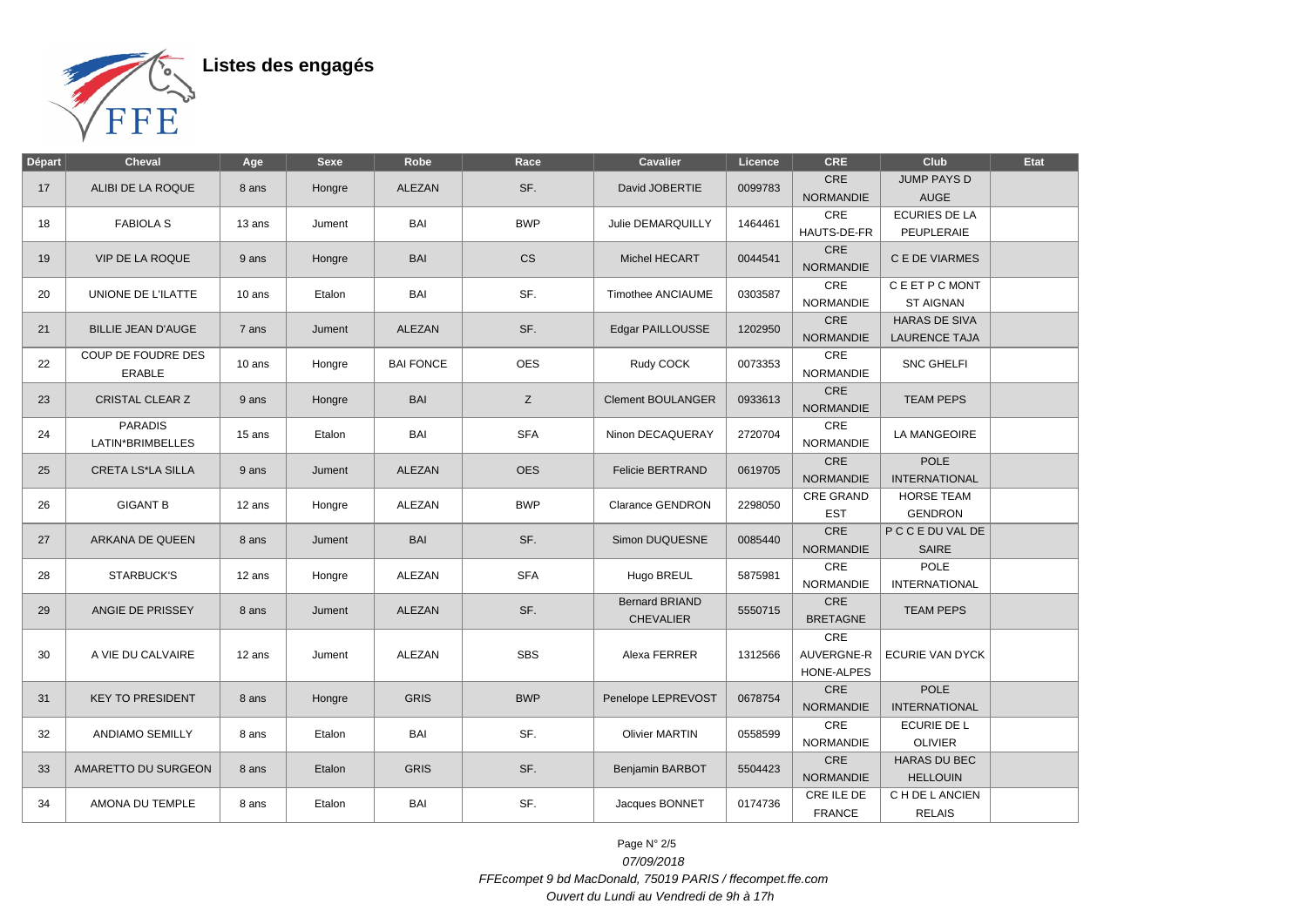

| <b>Départ</b> | <b>Cheval</b>             | Age                            | <b>Sexe</b> | Robe             | Race       | Cavalier                 | Licence          | <b>CRE</b>              | Club                   | <b>Etat</b> |                     |     |  |  |
|---------------|---------------------------|--------------------------------|-------------|------------------|------------|--------------------------|------------------|-------------------------|------------------------|-------------|---------------------|-----|--|--|
| 17            | ALIBI DE LA ROQUE         | 8 ans                          | Hongre      | <b>ALEZAN</b>    | SF.        | David JOBERTIE           | 0099783          | <b>CRE</b>              | <b>JUMP PAYS D</b>     |             |                     |     |  |  |
|               |                           |                                |             |                  |            |                          |                  | <b>NORMANDIE</b>        | <b>AUGE</b>            |             |                     |     |  |  |
| 18            | <b>FABIOLA S</b>          | 13 ans                         | Jument      | BAI              | <b>BWP</b> | Julie DEMARQUILLY        | 1464461          | CRE                     | <b>ECURIES DE LA</b>   |             |                     |     |  |  |
|               |                           |                                |             |                  |            |                          |                  | HAUTS-DE-FR             | PEUPLERAIE             |             |                     |     |  |  |
| 19            | <b>VIP DE LA ROQUE</b>    | 9 ans                          | Hongre      | <b>BAI</b>       | <b>CS</b>  | Michel HECART            | 0044541          | CRE<br><b>NORMANDIE</b> | C E DE VIARMES         |             |                     |     |  |  |
|               |                           |                                |             |                  |            |                          |                  |                         |                        |             |                     |     |  |  |
| 20            | UNIONE DE L'ILATTE        | 10 ans                         | Etalon      | BAI              | SF.        | <b>Timothee ANCIAUME</b> | 0303587          | CRE                     | C E ET P C MONT        |             |                     |     |  |  |
|               |                           |                                |             |                  |            |                          |                  | <b>NORMANDIE</b>        | <b>ST AIGNAN</b>       |             |                     |     |  |  |
| 21            | <b>BILLIE JEAN D'AUGE</b> | 7 ans                          | Jument      | <b>ALEZAN</b>    | SF.        | Edgar PAILLOUSSE         | 1202950          | CRE                     | <b>HARAS DE SIVA</b>   |             |                     |     |  |  |
|               |                           |                                |             |                  |            |                          |                  | <b>NORMANDIE</b>        | <b>LAURENCE TAJA</b>   |             |                     |     |  |  |
|               | COUP DE FOUDRE DES        |                                |             |                  |            |                          |                  | CRE                     |                        |             |                     |     |  |  |
| 22            | <b>ERABLE</b>             | 10 ans                         | Hongre      | <b>BAI FONCE</b> | <b>OES</b> | Rudy COCK                | 0073353          | <b>NORMANDIE</b>        | SNC GHELFI             |             |                     |     |  |  |
|               |                           |                                |             |                  |            |                          |                  | CRE                     |                        |             |                     |     |  |  |
| 23            | <b>CRISTAL CLEAR Z</b>    | 9 ans                          | Hongre      | <b>BAI</b>       | Z          | <b>Clement BOULANGER</b> | 0933613          | <b>NORMANDIE</b>        | <b>TEAM PEPS</b>       |             |                     |     |  |  |
|               |                           |                                |             |                  |            |                          |                  |                         |                        |             |                     |     |  |  |
| 24            | <b>PARADIS</b>            |                                |             | 15 ans           | Etalon     | BAI                      | <b>SFA</b>       | Ninon DECAQUERAY        | 2720704                | CRE         | <b>LA MANGEOIRE</b> |     |  |  |
|               | LATIN*BRIMBELLES          |                                |             |                  |            |                          |                  | <b>NORMANDIE</b>        |                        |             |                     |     |  |  |
| 25            | <b>CRETA LS*LA SILLA</b>  |                                | Jument      | ALEZAN           | <b>OES</b> | <b>Felicie BERTRAND</b>  | 0619705          | CRE                     | <b>POLE</b>            |             |                     |     |  |  |
|               |                           | 9 ans                          |             |                  |            |                          |                  | <b>NORMANDIE</b>        | <b>INTERNATIONAL</b>   |             |                     |     |  |  |
|               |                           |                                |             |                  |            |                          |                  | <b>CRE GRAND</b>        | <b>HORSE TEAM</b>      |             |                     |     |  |  |
| 26            | <b>GIGANT B</b>           | 12 ans                         | Hongre      | ALEZAN           | <b>BWP</b> | <b>Clarance GENDRON</b>  | 2298050          | <b>EST</b>              | <b>GENDRON</b>         |             |                     |     |  |  |
|               |                           |                                |             |                  |            |                          |                  | CRE                     | P C C E DU VAL DE      |             |                     |     |  |  |
| 27            | ARKANA DE QUEEN           | 8 ans                          | Jument      | BAI              | SF.        | Simon DUQUESNE           | 0085440          | <b>NORMANDIE</b>        | <b>SAIRE</b>           |             |                     |     |  |  |
|               |                           |                                |             |                  |            |                          |                  | CRE                     | <b>POLE</b>            |             |                     |     |  |  |
| 28            | STARBUCK'S                | 12 ans                         | Hongre      | ALEZAN           | <b>SFA</b> | Hugo BREUL               | 5875981          |                         |                        |             |                     |     |  |  |
|               |                           |                                |             |                  |            |                          |                  | <b>NORMANDIE</b>        | <b>INTERNATIONAL</b>   |             |                     |     |  |  |
| 29            | ANGIE DE PRISSEY          | 8 ans                          | Jument      | <b>ALEZAN</b>    | SF.        | <b>Bernard BRIAND</b>    | 5550715          | CRE                     | <b>TEAM PEPS</b>       |             |                     |     |  |  |
|               |                           |                                |             |                  |            | <b>CHEVALIER</b>         |                  | <b>BRETAGNE</b>         |                        |             |                     |     |  |  |
|               |                           | 12 ans                         |             |                  |            |                          |                  |                         |                        |             |                     | CRE |  |  |
| 30            | A VIE DU CALVAIRE         |                                | Jument      | ALEZAN           | <b>SBS</b> | Alexa FERRER             | 1312566          | AUVERGNE-R              | <b>ECURIE VAN DYCK</b> |             |                     |     |  |  |
|               |                           |                                |             |                  |            |                          |                  | HONE-ALPES              |                        |             |                     |     |  |  |
|               |                           |                                |             |                  |            |                          |                  | CRE                     | <b>POLE</b>            |             |                     |     |  |  |
| 31            | <b>KEY TO PRESIDENT</b>   | 8 ans                          | Hongre      | <b>GRIS</b>      | <b>BWP</b> | Penelope LEPREVOST       | 0678754          | <b>NORMANDIE</b>        | <b>INTERNATIONAL</b>   |             |                     |     |  |  |
|               |                           |                                |             |                  |            |                          |                  | CRE                     | ECURIE DE L            |             |                     |     |  |  |
| 32            | <b>ANDIAMO SEMILLY</b>    | 8 ans                          | Etalon      | BAI              | SF.        | <b>Olivier MARTIN</b>    | 0558599          | <b>NORMANDIE</b>        | <b>OLIVIER</b>         |             |                     |     |  |  |
|               |                           |                                |             |                  |            |                          |                  |                         |                        |             |                     |     |  |  |
| 33            | AMARETTO DU SURGEON       | Etalon<br><b>GRIS</b><br>8 ans |             |                  | SF.        | Benjamin BARBOT          | 5504423          | CRE                     | <b>HARAS DU BEC</b>    |             |                     |     |  |  |
|               |                           |                                |             |                  |            |                          | <b>NORMANDIE</b> | <b>HELLOUIN</b>         |                        |             |                     |     |  |  |
| 34            | AMONA DU TEMPLE           | 8 ans                          | Etalon      | BAI              | SF.        | Jacques BONNET           | 0174736          | CRE ILE DE              | C H DE L ANCIEN        |             |                     |     |  |  |
|               |                           |                                |             |                  |            |                          |                  | <b>FRANCE</b>           | <b>RELAIS</b>          |             |                     |     |  |  |

Page N° 2/5 07/09/2018 FFEcompet 9 bd MacDonald, 75019 PARIS / ffecompet.ffe.com Ouvert du Lundi au Vendredi de 9h à 17h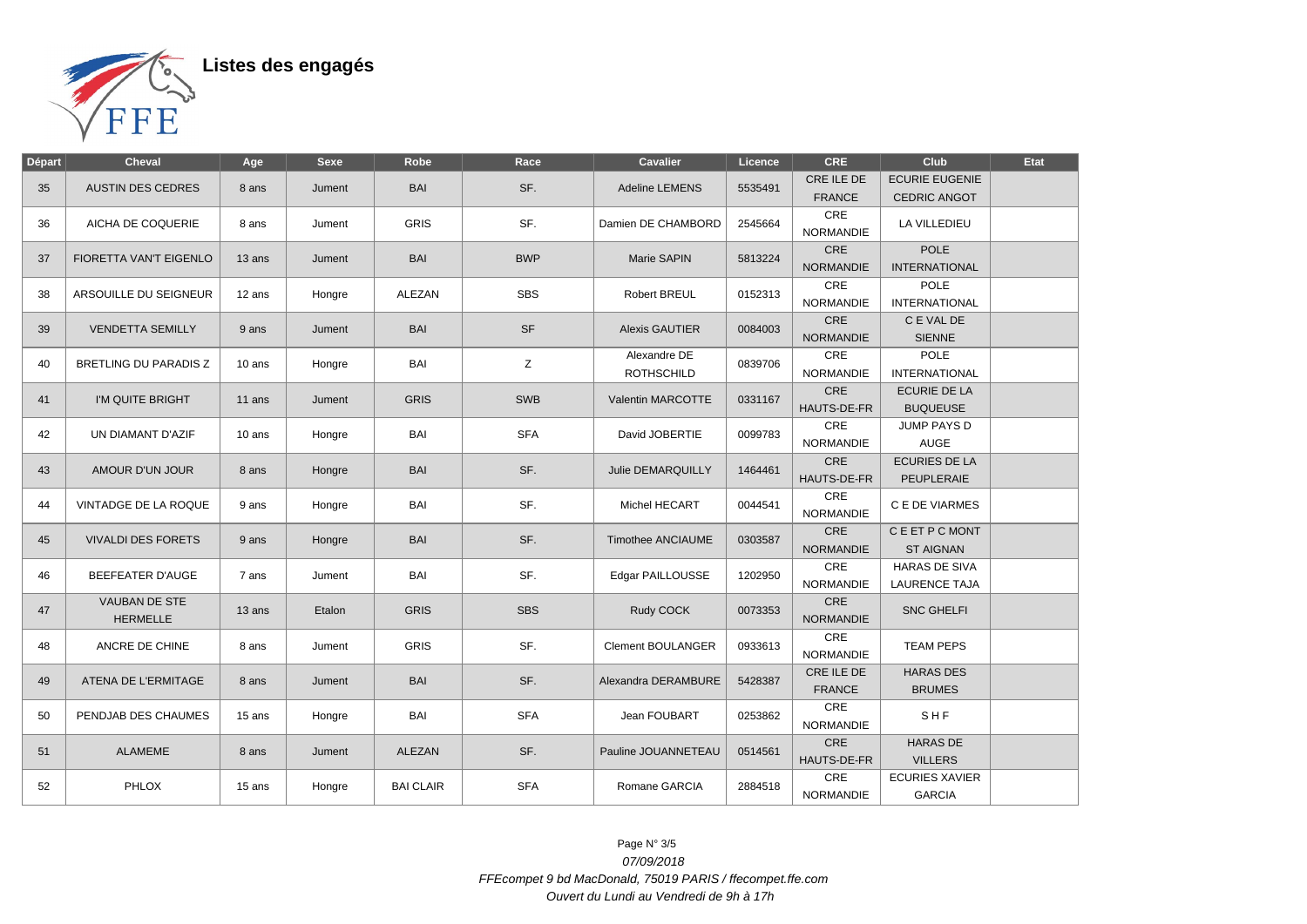

| Départ | <b>Cheval</b>                           | Age    | <b>Sexe</b> | Robe             | Race       | <b>Cavalier</b>                   | Licence | <b>CRE</b>                     | Club                                         | Etat |
|--------|-----------------------------------------|--------|-------------|------------------|------------|-----------------------------------|---------|--------------------------------|----------------------------------------------|------|
| 35     | <b>AUSTIN DES CEDRES</b>                | 8 ans  | Jument      | BAI              | SF.        | Adeline LEMENS                    | 5535491 | CRE ILE DE<br><b>FRANCE</b>    | <b>ECURIE EUGENIE</b><br><b>CEDRIC ANGOT</b> |      |
| 36     | AICHA DE COQUERIE                       | 8 ans  | Jument      | <b>GRIS</b>      | SF.        | Damien DE CHAMBORD                | 2545664 | <b>CRE</b><br><b>NORMANDIE</b> | LA VILLEDIEU                                 |      |
| 37     | FIORETTA VAN'T EIGENLO                  | 13 ans | Jument      | BAI              | <b>BWP</b> | Marie SAPIN                       | 5813224 | CRE<br><b>NORMANDIE</b>        | <b>POLE</b><br><b>INTERNATIONAL</b>          |      |
| 38     | ARSOUILLE DU SEIGNEUR                   | 12 ans | Hongre      | ALEZAN           | <b>SBS</b> | Robert BREUL                      | 0152313 | CRE<br>NORMANDIE               | <b>POLE</b><br><b>INTERNATIONAL</b>          |      |
| 39     | <b>VENDETTA SEMILLY</b>                 | 9 ans  | Jument      | BAI              | <b>SF</b>  | <b>Alexis GAUTIER</b>             | 0084003 | CRE<br><b>NORMANDIE</b>        | C E VAL DE<br><b>SIENNE</b>                  |      |
| 40     | BRETLING DU PARADIS Z                   | 10 ans | Hongre      | BAI              | Ζ          | Alexandre DE<br><b>ROTHSCHILD</b> | 0839706 | CRE<br><b>NORMANDIE</b>        | <b>POLE</b><br><b>INTERNATIONAL</b>          |      |
| 41     | I'M QUITE BRIGHT                        | 11 ans | Jument      | <b>GRIS</b>      | SWB        | <b>Valentin MARCOTTE</b>          | 0331167 | CRE<br>HAUTS-DE-FR             | <b>ECURIE DE LA</b><br><b>BUQUEUSE</b>       |      |
| 42     | UN DIAMANT D'AZIF                       | 10 ans | Hongre      | BAI              | <b>SFA</b> | David JOBERTIE                    | 0099783 | CRE<br><b>NORMANDIE</b>        | JUMP PAYS D<br><b>AUGE</b>                   |      |
| 43     | AMOUR D'UN JOUR                         | 8 ans  | Hongre      | BAI              | SF.        | Julie DEMARQUILLY                 | 1464461 | CRE<br>HAUTS-DE-FR             | <b>ECURIES DE LA</b><br><b>PEUPLERAIE</b>    |      |
| 44     | VINTADGE DE LA ROQUE                    | 9 ans  | Hongre      | BAI              | SF.        | Michel HECART                     | 0044541 | CRE<br><b>NORMANDIE</b>        | C E DE VIARMES                               |      |
| 45     | <b>VIVALDI DES FORETS</b>               | 9 ans  | Hongre      | BAI              | SF.        | <b>Timothee ANCIAUME</b>          | 0303587 | CRE<br><b>NORMANDIE</b>        | C E ET P C MONT<br><b>ST AIGNAN</b>          |      |
| 46     | <b>BEEFEATER D'AUGE</b>                 | 7 ans  | Jument      | BAI              | SF.        | Edgar PAILLOUSSE                  | 1202950 | CRE<br><b>NORMANDIE</b>        | HARAS DE SIVA<br><b>LAURENCE TAJA</b>        |      |
| 47     | <b>VAUBAN DE STE</b><br><b>HERMELLE</b> | 13 ans | Etalon      | <b>GRIS</b>      | <b>SBS</b> | Rudy COCK                         | 0073353 | CRE<br><b>NORMANDIE</b>        | <b>SNC GHELFI</b>                            |      |
| 48     | ANCRE DE CHINE                          | 8 ans  | Jument      | <b>GRIS</b>      | SF.        | <b>Clement BOULANGER</b>          | 0933613 | CRE<br><b>NORMANDIE</b>        | <b>TEAM PEPS</b>                             |      |
| 49     | ATENA DE L'ERMITAGE                     | 8 ans  | Jument      | BAI              | SF.        | Alexandra DERAMBURE               | 5428387 | CRE ILE DE<br><b>FRANCE</b>    | <b>HARAS DES</b><br><b>BRUMES</b>            |      |
| 50     | PENDJAB DES CHAUMES                     | 15 ans | Hongre      | BAI              | <b>SFA</b> | Jean FOUBART                      | 0253862 | CRE<br><b>NORMANDIE</b>        | SHF                                          |      |
| 51     | <b>ALAMEME</b>                          | 8 ans  | Jument      | <b>ALEZAN</b>    | SF.        | Pauline JOUANNETEAU               | 0514561 | <b>CRE</b><br>HAUTS-DE-FR      | <b>HARAS DE</b><br><b>VILLERS</b>            |      |
| 52     | <b>PHLOX</b>                            | 15 ans | Hongre      | <b>BAI CLAIR</b> | <b>SFA</b> | Romane GARCIA                     | 2884518 | CRE<br><b>NORMANDIE</b>        | <b>ECURIES XAVIER</b><br><b>GARCIA</b>       |      |

Page N° 3/5 07/09/2018 FFEcompet 9 bd MacDonald, 75019 PARIS / ffecompet.ffe.com Ouvert du Lundi au Vendredi de 9h à 17h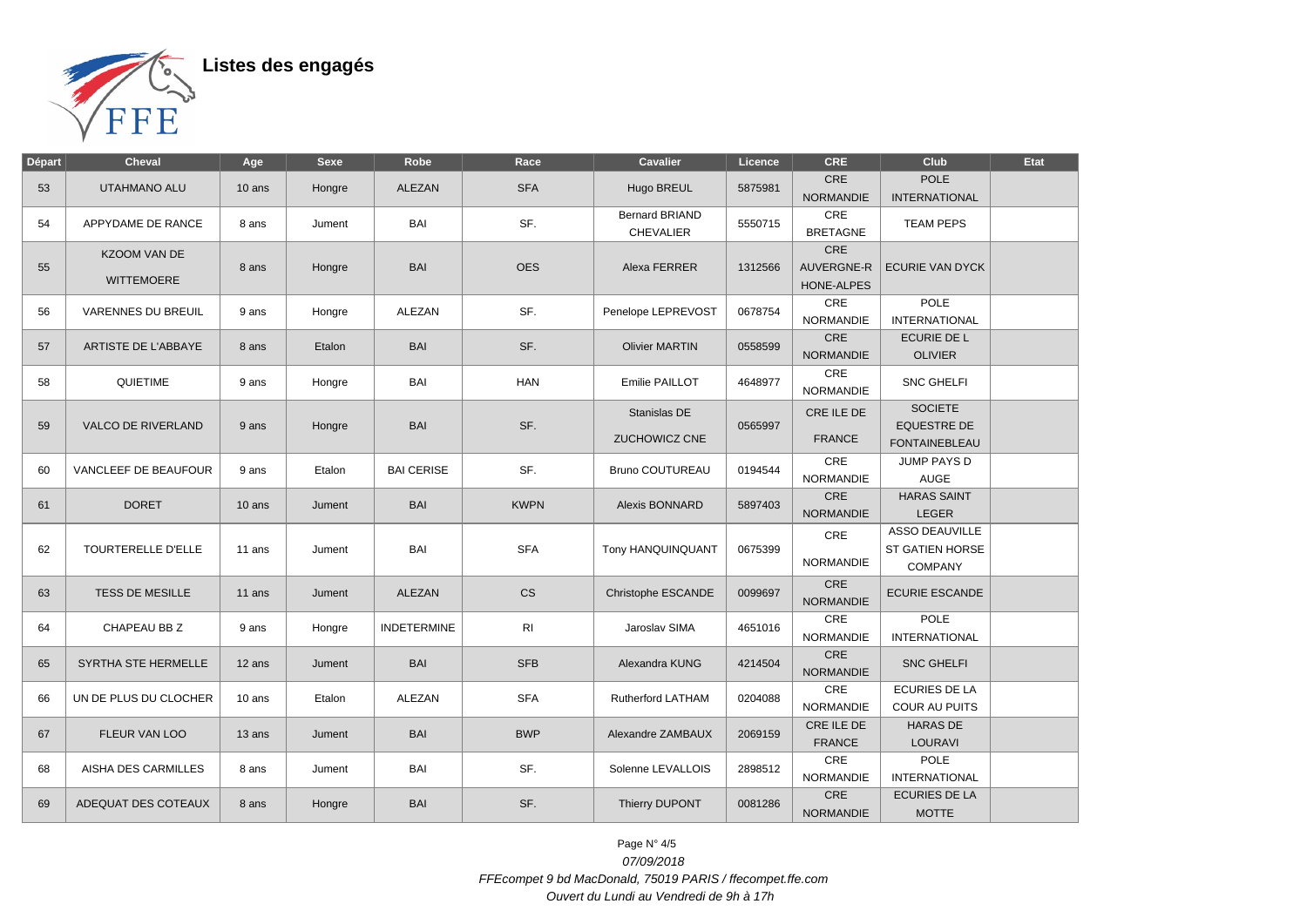

| <b>Départ</b> | <b>Cheval</b>                            | Age    | <b>Sexe</b> | Robe               | Race           | <b>Cavalier</b>                           | Licence | <b>CRE</b>                                    | Club                                                              | <b>Etat</b> |
|---------------|------------------------------------------|--------|-------------|--------------------|----------------|-------------------------------------------|---------|-----------------------------------------------|-------------------------------------------------------------------|-------------|
| 53            | UTAHMANO ALU                             | 10 ans | Hongre      | <b>ALEZAN</b>      | <b>SFA</b>     | Hugo BREUL                                | 5875981 | <b>CRE</b><br><b>NORMANDIE</b>                | <b>POLE</b><br><b>INTERNATIONAL</b>                               |             |
| 54            | APPYDAME DE RANCE                        | 8 ans  | Jument      | BAI                | SF.            | <b>Bernard BRIAND</b><br><b>CHEVALIER</b> | 5550715 | CRE<br><b>BRETAGNE</b>                        | <b>TEAM PEPS</b>                                                  |             |
| 55            | <b>KZOOM VAN DE</b><br><b>WITTEMOERE</b> | 8 ans  | Hongre      | <b>BAI</b>         | <b>OES</b>     | Alexa FERRER                              | 1312566 | CRE<br><b>AUVERGNE-R</b><br><b>HONE-ALPES</b> | <b>ECURIE VAN DYCK</b>                                            |             |
| 56            | <b>VARENNES DU BREUIL</b>                | 9 ans  | Hongre      | <b>ALEZAN</b>      | SF.            | Penelope LEPREVOST                        | 0678754 | CRE<br><b>NORMANDIE</b>                       | POLE<br><b>INTERNATIONAL</b>                                      |             |
| 57            | ARTISTE DE L'ABBAYE                      | 8 ans  | Etalon      | <b>BAI</b>         | SF.            | <b>Olivier MARTIN</b>                     | 0558599 | CRE<br><b>NORMANDIE</b>                       | <b>ECURIE DE L</b><br><b>OLIVIER</b>                              |             |
| 58            | QUIETIME                                 | 9 ans  | Hongre      | BAI                | <b>HAN</b>     | Emilie PAILLOT                            | 4648977 | CRE<br><b>NORMANDIE</b>                       | <b>SNC GHELFI</b>                                                 |             |
| 59            | <b>VALCO DE RIVERLAND</b>                | 9 ans  | Hongre      | <b>BAI</b>         | SF.            | Stanislas DE<br>ZUCHOWICZ CNE             | 0565997 | CRE ILE DE<br><b>FRANCE</b>                   | <b>SOCIETE</b><br><b>EQUESTRE DE</b><br><b>FONTAINEBLEAU</b>      |             |
| 60            | VANCLEEF DE BEAUFOUR                     | 9 ans  | Etalon      | <b>BAI CERISE</b>  | SF.            | <b>Bruno COUTUREAU</b>                    | 0194544 | CRE<br><b>NORMANDIE</b>                       | <b>JUMP PAYS D</b><br><b>AUGE</b>                                 |             |
| 61            | <b>DORET</b>                             | 10 ans | Jument      | <b>BAI</b>         | <b>KWPN</b>    | Alexis BONNARD                            | 5897403 | CRE<br><b>NORMANDIE</b>                       | <b>HARAS SAINT</b><br>LEGER                                       |             |
| 62            | TOURTERELLE D'ELLE                       | 11 ans | Jument      | <b>BAI</b>         | <b>SFA</b>     | Tony HANQUINQUANT                         | 0675399 | CRE<br><b>NORMANDIE</b>                       | <b>ASSO DEAUVILLE</b><br><b>ST GATIEN HORSE</b><br><b>COMPANY</b> |             |
| 63            | <b>TESS DE MESILLE</b>                   | 11 ans | Jument      | ALEZAN             | CS             | Christophe ESCANDE                        | 0099697 | CRE<br><b>NORMANDIE</b>                       | <b>ECURIE ESCANDE</b>                                             |             |
| 64            | CHAPEAU BB Z                             | 9 ans  | Hongre      | <b>INDETERMINE</b> | R <sub>l</sub> | Jaroslav SIMA                             | 4651016 | CRE<br><b>NORMANDIE</b>                       | <b>POLE</b><br><b>INTERNATIONAL</b>                               |             |
| 65            | SYRTHA STE HERMELLE                      | 12 ans | Jument      | <b>BAI</b>         | <b>SFB</b>     | Alexandra KUNG                            | 4214504 | CRE<br><b>NORMANDIE</b>                       | <b>SNC GHELFI</b>                                                 |             |
| 66            | UN DE PLUS DU CLOCHER                    | 10 ans | Etalon      | <b>ALEZAN</b>      | <b>SFA</b>     | <b>Rutherford LATHAM</b>                  | 0204088 | CRE<br><b>NORMANDIE</b>                       | <b>ECURIES DE LA</b><br><b>COUR AU PUITS</b>                      |             |
| 67            | FLEUR VAN LOO                            | 13 ans | Jument      | <b>BAI</b>         | <b>BWP</b>     | Alexandre ZAMBAUX                         | 2069159 | CRE ILE DE<br><b>FRANCE</b>                   | <b>HARAS DE</b><br>LOURAVI                                        |             |
| 68            | AISHA DES CARMILLES                      | 8 ans  | Jument      | BAI                | SF.            | Solenne LEVALLOIS                         | 2898512 | CRE<br><b>NORMANDIE</b>                       | <b>POLE</b><br><b>INTERNATIONAL</b>                               |             |
| 69            | ADEQUAT DES COTEAUX                      | 8 ans  | Hongre      | <b>BAI</b>         | SF.            | Thierry DUPONT                            | 0081286 | CRE<br><b>NORMANDIE</b>                       | <b>ECURIES DE LA</b><br><b>MOTTE</b>                              |             |

Page N° 4/5 07/09/2018 FFEcompet 9 bd MacDonald, 75019 PARIS / ffecompet.ffe.com Ouvert du Lundi au Vendredi de 9h à 17h